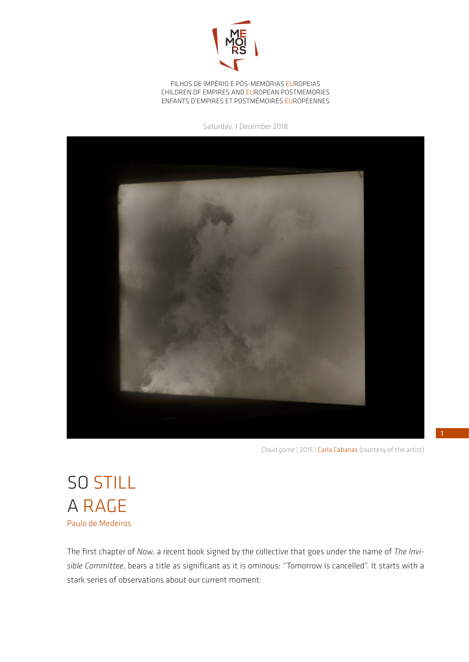

FILHOS DE IMPÉRIO E PÓS-MEMÓRIAS EUROPEIAS CHILDREN OF EMPIRES AND EUROPEAN POSTMEMORIES ENFANTS D'EMPIRES ET POSTMÉMOIRES EUROPÉENNES

Saturday, 1 December 2018



*Cloud game* | 2015 | Carla Cabanas (courtesy of the artist)

SO STILL A RAGE Paulo de Medeiros

The first chapter of *Now*, a recent book signed by the collective that goes under the name of *The Invisible Committee*, bears a title as significant as it is ominous: "Tomorrow is cancelled". It starts with a stark series of observations about our current moment: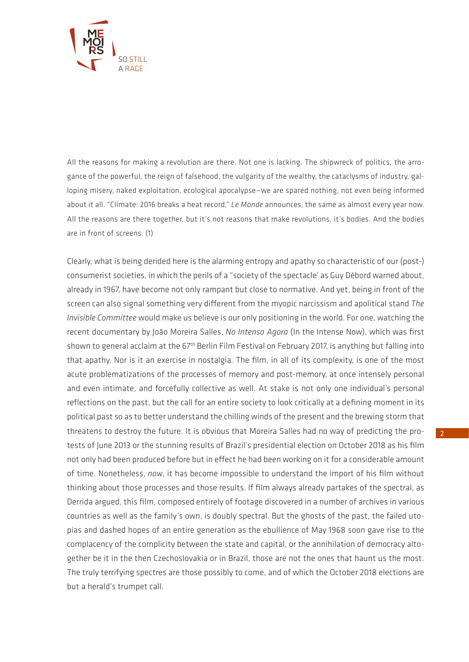

All the reasons for making a revolution are there. Not one is lacking. The shipwreck of politics, the arrogance of the powerful, the reign of falsehood, the vulgarity of the wealthy, the cataclysms of industry, galloping misery, naked exploitation, ecological apocalypse—we are spared nothing, not even being informed about it all. "Climate: 2016 breaks a heat record," *Le Monde* announces, the same as almost every year now. All the reasons are there together, but it's not reasons that make revolutions, it's bodies. And the bodies are in front of screens. (1)

Clearly, what is being derided here is the alarming entropy and apathy so characteristic of our (post-) consumerist societies, in which the perils of a "society of the spectacle' as Guy Débord warned about, already in 1967, have become not only rampant but close to normative. And yet, being in front of the screen can also signal something very different from the myopic narcissism and apolitical stand *The Invisible Committee* would make us believe is our only positioning in the world. For one, watching the recent documentary by João Moreira Salles, *No Intenso Agora* (In the Intense Now), which was first shown to general acclaim at the 67<sup>th</sup> Berlin Film Festival on February 2017, is anything but falling into that apathy. Nor is it an exercise in nostalgia. The film, in all of its complexity, is one of the most acute problematizations of the processes of memory and post-memory, at once intensely personal and even intimate, and forcefully collective as well. At stake is not only one individual's personal reflections on the past, but the call for an entire society to look critically at a defining moment in its political past so as to better understand the chilling winds of the present and the brewing storm that threatens to destroy the future. It is obvious that Moreira Salles had no way of predicting the protests of June 2013 or the stunning results of Brazil's presidential election on October 2018 as his film not only had been produced before but in effect he had been working on it for a considerable amount of time. Nonetheless, *now*, it has become impossible to understand the import of his film without thinking about those processes and those results. If film always already partakes of the spectral, as Derrida argued, this film, composed entirely of footage discovered in a number of archives in various countries as well as the family's own, is doubly spectral. But the ghosts of the past, the failed utopias and dashed hopes of an entire generation as the ebullience of May 1968 soon gave rise to the complacency of the complicity between the state and capital, or the annihilation of democracy altogether be it in the then Czechoslovakia or in Brazil, those are not the ones that haunt us the most. The truly terrifying spectres are those possibly to come, and of which the October 2018 elections are but a herald's trumpet call.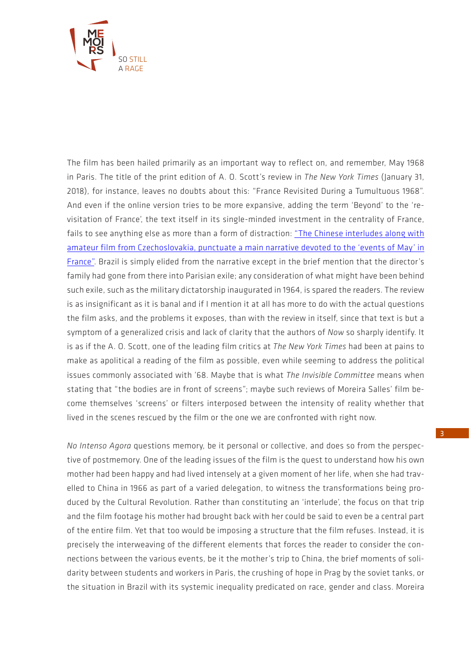

The film has been hailed primarily as an important way to reflect on, and remember, May 1968 in Paris. The title of the print edition of A. O. Scott's review in *The New York Times* (January 31, 2018), for instance, leaves no doubts about this: "France Revisited During a Tumultuous 1968". And even if the online version tries to be more expansive, adding the term 'Beyond' to the 'revisitation of France', the text itself in its single-minded investment in the centrality of France, fails to see anything else as more than a form of distraction: "The Chinese interludes along with amateur film from Czechoslovakia, punctuate a main narrative devoted to the 'events of May' in France". Brazil is simply elided from the narrative except in the brief mention that the director's family had gone from there into Parisian exile; any consideration of what might have been behind such exile, such as the military dictatorship inaugurated in 1964, is spared the readers. The review is as insignificant as it is banal and if I mention it at all has more to do with the actual questions the film asks, and the problems it exposes, than with the review in itself, since that text is but a symptom of a generalized crisis and lack of clarity that the authors of *Now* so sharply identify. It is as if the A. O. Scott, one of the leading film critics at *The New York Times* had been at pains to make as apolitical a reading of the film as possible, even while seeming to address the political issues commonly associated with '68. Maybe that is what *The Invisible Committee* means when stating that "the bodies are in front of screens"; maybe such reviews of Moreira Salles' film become themselves 'screens' or filters interposed between the intensity of reality whether that lived in the scenes rescued by the film or the one we are confronted with right now.

*No Intenso Agora* questions memory, be it personal or collective, and does so from the perspective of postmemory. One of the leading issues of the film is the quest to understand how his own mother had been happy and had lived intensely at a given moment of her life, when she had travelled to China in 1966 as part of a varied delegation, to witness the transformations being produced by the Cultural Revolution. Rather than constituting an 'interlude', the focus on that trip and the film footage his mother had brought back with her could be said to even be a central part of the entire film. Yet that too would be imposing a structure that the film refuses. Instead, it is precisely the interweaving of the different elements that forces the reader to consider the connections between the various events, be it the mother's trip to China, the brief moments of solidarity between students and workers in Paris, the crushing of hope in Prag by the soviet tanks, or the situation in Brazil with its systemic inequality predicated on race, gender and class. Moreira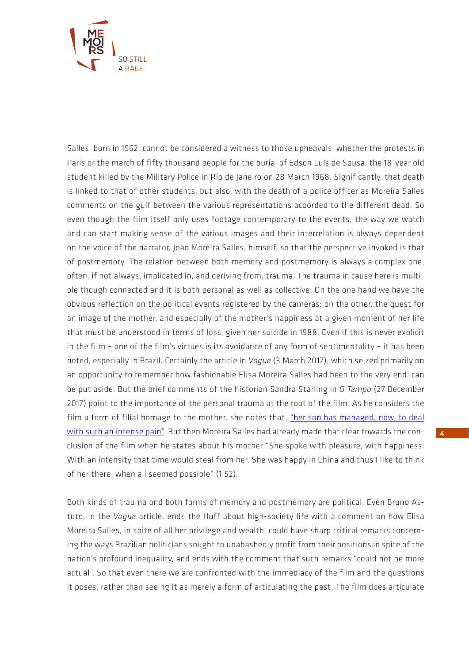

Salles, born in 1962, cannot be considered a witness to those upheavals, whether the protests in Paris or the march of fifty thousand people for the burial of Edson Luís de Sousa, the 18-year old student killed by the Military Police in Rio de Janeiro on 28 March 1968. Significantly, that death is linked to that of other students, but also, with the death of a police officer as Moreira Salles comments on the gulf between the various representations acoorded to the different dead. So even though the film itself only uses footage contemporary to the events, the way we watch and can start making sense of the various images and their interrelation is always dependent on the voice of the narrator, João Moreira Salles, himself, so that the perspective invoked is that of postmemory. The relation between both memory and postmemory is always a complex one, often, if not always, implicated in, and deriving from, trauma. The trauma in cause here is multiple though connected and it is both personal as well as collective. On the one hand we have the obvious reflection on the political events registered by the cameras; on the other, the quest for an image of the mother, and especially of the mother's happiness at a given moment of her life that must be understood in terms of loss, given her suicide in 1988. Even if this is never explicit in the film – one of the film's virtues is its avoidance of any form of sentimentality – it has been noted, especially in Brazil. Certainly the article in *Vogue* (3 March 2017), which seized primarily on an opportunity to remember how fashionable Elisa Moreira Salles had been to the very end, can be put aside. But the brief comments of the historian Sandra Starling in *O Tempo* (27 December 2017) point to the importance of the personal trauma at the root of the film. As he considers the film a form of filial homage to the mother, she notes that, "her son has managed, now, to deal with such an intense pain". But then Moreira Salles had already made that clear towards the conclusion of the film when he states about his mother "She spoke with pleasure, with happiness. With an intensity that time would steal from her. She was happy in China and thus I like to think of her there, when all seemed possible" (1:52).

Both kinds of trauma and both forms of memory and postmemory are political. Even Bruno Astuto, in the *Vogue* article, ends the fluff about high-society life with a comment on how Elisa Moreira Salles, in spite of all her privilege and wealth, could have sharp critical remarks concerning the ways Brazilian politicians sought to unabashedly profit from their positions in spite of the nation's profound inequality, and ends with the comment that such remarks "could not be more actual". So that even there we are confronted with the immediacy of the film and the questions it poses, rather than seeing it as merely a form of articulating the past. The film does articulate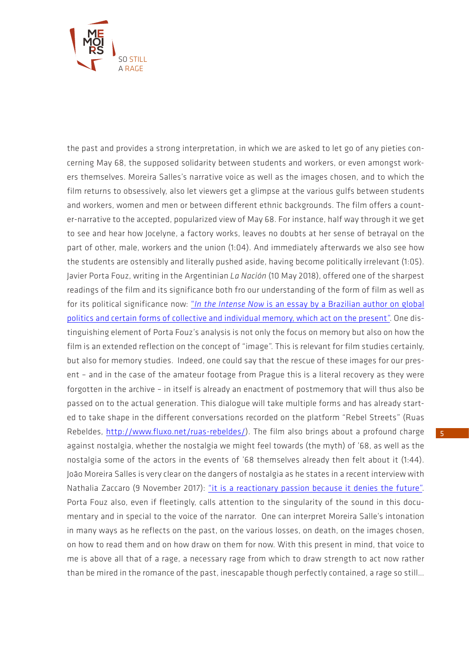

the past and provides a strong interpretation, in which we are asked to let go of any pieties concerning May 68, the supposed solidarity between students and workers, or even amongst workers themselves. Moreira Salles's narrative voice as well as the images chosen, and to which the film returns to obsessively, also let viewers get a glimpse at the various gulfs between students and workers, women and men or between different ethnic backgrounds. The film offers a counter-narrative to the accepted, popularized view of May 68. For instance, half way through it we get to see and hear how Jocelyne, a factory works, leaves no doubts at her sense of betrayal on the part of other, male, workers and the union (1:04). And immediately afterwards we also see how the students are ostensibly and literally pushed aside, having become politically irrelevant (1:05). Javier Porta Fouz, writing in the Argentinian *La Nación* (10 May 2018), offered one of the sharpest readings of the film and its significance both fro our understanding of the form of film as well as for its political significance now: "*In the Intense Now* is an essay by a Brazilian author on global politics and certain forms of collective and individual memory, which act on the present". One distinguishing element of Porta Fouz's analysis is not only the focus on memory but also on how the film is an extended reflection on the concept of "image". This is relevant for film studies certainly, but also for memory studies. Indeed, one could say that the rescue of these images for our present – and in the case of the amateur footage from Prague this is a literal recovery as they were forgotten in the archive – in itself is already an enactment of postmemory that will thus also be passed on to the actual generation. This dialogue will take multiple forms and has already started to take shape in the different conversations recorded on the platform "Rebel Streets" (Ruas Rebeldes, http://www.fluxo.net/ruas-rebeldes/). The film also brings about a profound charge against nostalgia, whether the nostalgia we might feel towards (the myth) of '68, as well as the nostalgia some of the actors in the events of '68 themselves already then felt about it (1:44). João Moreira Salles is very clear on the dangers of nostalgia as he states in a recent interview with Nathalia Zaccaro (9 November 2017): "it is a reactionary passion because it denies the future". Porta Fouz also, even if fleetingly, calls attention to the singularity of the sound in this documentary and in special to the voice of the narrator. One can interpret Moreira Salle's intonation in many ways as he reflects on the past, on the various losses, on death, on the images chosen, on how to read them and on how draw on them for now. With this present in mind, that voice to me is above all that of a rage, a necessary rage from which to draw strength to act now rather than be mired in the romance of the past, inescapable though perfectly contained, a rage so still…